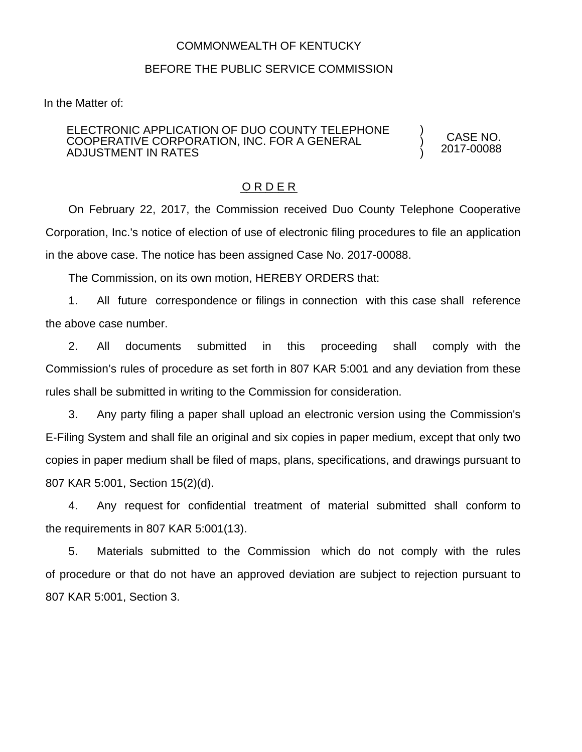## COMMONWEALTH OF KENTUCKY

## BEFORE THE PUBLIC SERVICE COMMISSION

In the Matter of:

## ELECTRONIC APPLICATION OF DUO COUNTY TELEPHONE COOPERATIVE CORPORATION, INC. FOR A GENERAL ADJUSTMENT IN RATES

CASE NO. 2017-00088

) ) )

## O R D E R

On February 22, 2017, the Commission received Duo County Telephone Cooperative Corporation, Inc.'s notice of election of use of electronic filing procedures to file an application in the above case. The notice has been assigned Case No. 2017-00088.

The Commission, on its own motion, HEREBY ORDERS that:

1. All future correspondence or filings in connection with this case shall reference the above case number.

2. All documents submitted in this proceeding shall comply with the Commission's rules of procedure as set forth in 807 KAR 5:001 and any deviation from these rules shall be submitted in writing to the Commission for consideration.

3. Any party filing a paper shall upload an electronic version using the Commission's E-Filing System and shall file an original and six copies in paper medium, except that only two copies in paper medium shall be filed of maps, plans, specifications, and drawings pursuant to 807 KAR 5:001, Section 15(2)(d).

4. Any request for confidential treatment of material submitted shall conform to the requirements in 807 KAR 5:001(13).

5. Materials submitted to the Commission which do not comply with the rules of procedure or that do not have an approved deviation are subject to rejection pursuant to 807 KAR 5:001, Section 3.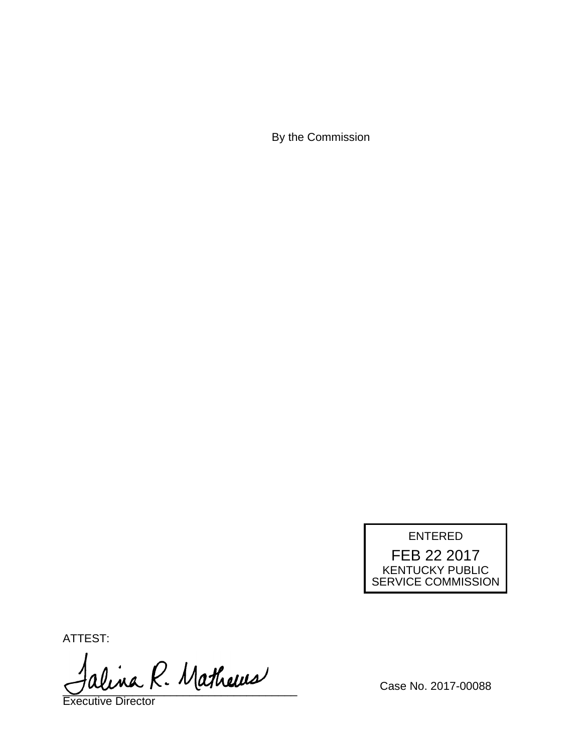By the Commission



ATTEST:

alina R. Mathews

Executive Director

Case No. 2017-00088